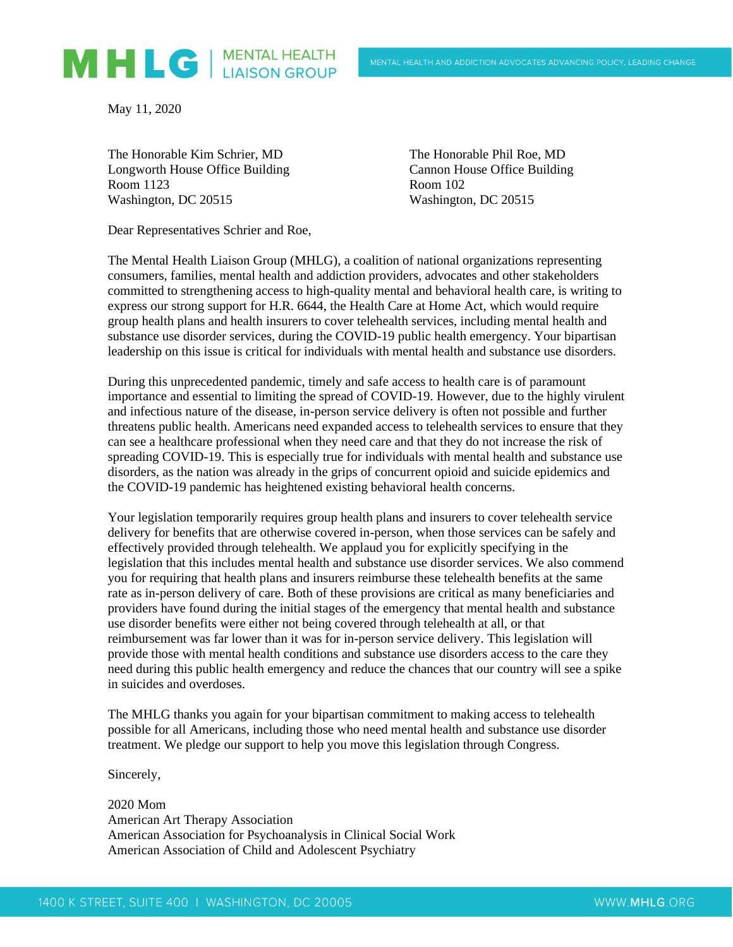

May 11, 2020

The Honorable Kim Schrier, MD The Honorable Phil Roe, MD Longworth House Office Building Cannon House Office Building Room 1123 Room 102 Washington, DC 20515 Washington, DC 20515

Dear Representatives Schrier and Roe,

The Mental Health Liaison Group (MHLG), a coalition of national organizations representing consumers, families, mental health and addiction providers, advocates and other stakeholders committed to strengthening access to high-quality mental and behavioral health care, is writing to express our strong support for H.R. 6644, the Health Care at Home Act, which would require group health plans and health insurers to cover telehealth services, including mental health and substance use disorder services, during the COVID-19 public health emergency. Your bipartisan leadership on this issue is critical for individuals with mental health and substance use disorders.

During this unprecedented pandemic, timely and safe access to health care is of paramount importance and essential to limiting the spread of COVID-19. However, due to the highly virulent and infectious nature of the disease, in-person service delivery is often not possible and further threatens public health. Americans need expanded access to telehealth services to ensure that they can see a healthcare professional when they need care and that they do not increase the risk of spreading COVID-19. This is especially true for individuals with mental health and substance use disorders, as the nation was already in the grips of concurrent opioid and suicide epidemics and the COVID-19 pandemic has heightened existing behavioral health concerns.

Your legislation temporarily requires group health plans and insurers to cover telehealth service delivery for benefits that are otherwise covered in-person, when those services can be safely and effectively provided through telehealth. We applaud you for explicitly specifying in the legislation that this includes mental health and substance use disorder services. We also commend you for requiring that health plans and insurers reimburse these telehealth benefits at the same rate as in-person delivery of care. Both of these provisions are critical as many beneficiaries and providers have found during the initial stages of the emergency that mental health and substance use disorder benefits were either not being covered through telehealth at all, or that reimbursement was far lower than it was for in-person service delivery. This legislation will provide those with mental health conditions and substance use disorders access to the care they need during this public health emergency and reduce the chances that our country will see a spike in suicides and overdoses.

The MHLG thanks you again for your bipartisan commitment to making access to telehealth possible for all Americans, including those who need mental health and substance use disorder treatment. We pledge our support to help you move this legislation through Congress.

Sincerely,

2020 Mom American Art Therapy Association American Association for Psychoanalysis in Clinical Social Work American Association of Child and Adolescent Psychiatry